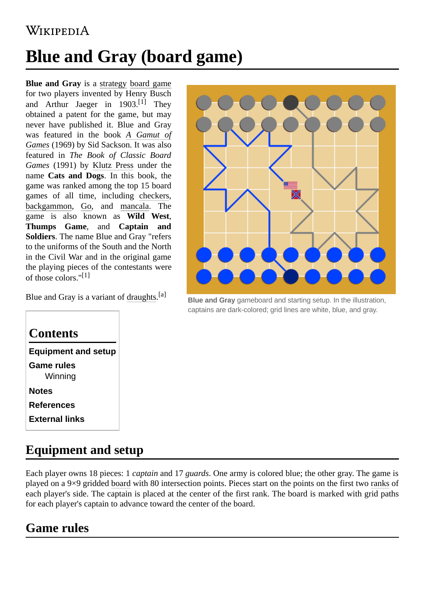### **WIKIPEDIA**

# **Blue and Gray (board game)**

**Blue and Gray** is a [strategy](https://en.wikipedia.org/wiki/Abstract_strategy_game) [board game](https://en.wikipedia.org/wiki/Board_game) for two players invented by Henry Busch and Arthur Jaeger in 1903.<sup>[\[1\]](#page-1-0)</sup> They obtained a patent for the game, but may never have published it. Blue and Gray was featured in the book *A Gamut of Games* [\(1969\) by Sid Sackson. It was also](https://en.wikipedia.org/wiki/A_Gamut_of_Games) featured in *The Book of Classic Board Games* (1991) by [Klutz Press](https://en.wikipedia.org/wiki/Klutz_Press) under the name **Cats and Dogs**. In this book, the game was ranked among the top 15 board games of all time, including [checkers](https://en.wikipedia.org/wiki/Checkers), [backgammon,](https://en.wikipedia.org/wiki/Backgammon) [Go](https://en.wikipedia.org/wiki/Go_(game)), and [mancala.](https://en.wikipedia.org/wiki/Mancala) The game is also known as **Wild West**, **Thumps Game**, and **Captain and Soldiers**. The name Blue and Gray "refers to the uniforms of the South and the North in the Civil War and in the original game the playing pieces of the contestants were of those colors."<sup>[\[1\]](#page-1-0)</sup>



**Blue and Gray** gameboard and starting setup. In the illustration, captains are dark-colored; grid lines are white, blue, and gray.

Blue and Gray is a variant of [draughts](https://en.wikipedia.org/wiki/Draughts).<sup>[\[a\]](#page-1-1)</sup>

## **[Equipment and setup](#page-0-0) [Game rules](#page-0-1) [Winning](#page-1-2) [Notes](#page-1-3) [References](#page-1-4) [External links](#page-1-5) Contents**

# <span id="page-0-0"></span>**Equipment and setup**

Each player owns 18 pieces: 1 *captain* and 17 *guards*. One army is colored blue; the other gray. The game is played on a 9×9 gridded [board](https://en.wikipedia.org/wiki/Glossary_of_board_games#gameboard) with 80 intersection points. Pieces start on the points on the first two [ranks](https://en.wikipedia.org/wiki/Glossary_of_chess#rank) of each player's side. The captain is placed at the center of the first rank. The board is marked with grid paths for each player's captain to advance toward the center of the board.

# <span id="page-0-1"></span>**Game rules**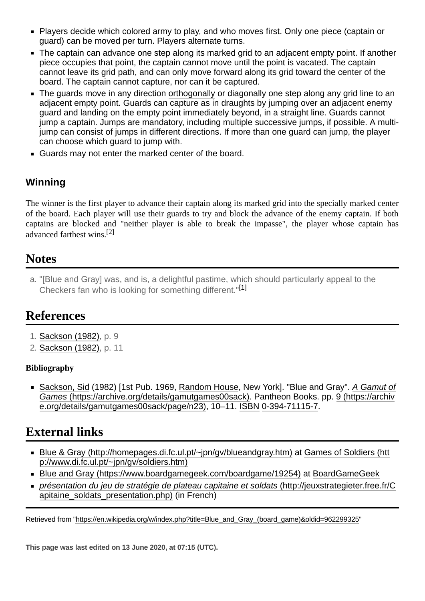- **Players decide which colored army to play, and who moves first. Only one piece (captain or** guard) can be moved per turn. Players alternate turns.
- The captain can advance one step along its marked grid to an adjacent empty point. If another piece occupies that point, the captain cannot move until the point is vacated. The captain cannot leave its grid path, and can only move forward along its grid toward the center of the board. The captain cannot capture, nor can it be captured.
- The guards move in any direction [orthogonally](https://en.wikipedia.org/wiki/Glossary_of_board_games#orthogonal) or diagonally one step along any grid line to an adjacent empty point. Guards can capture [as in draughts](https://en.wikipedia.org/wiki/Draughts#Rules) by jumping over an adjacent enemy guard and landing on the empty point immediately beyond, in a straight line. Guards cannot jump a captain. Jumps are mandatory, including multiple successive jumps, if possible. A multijump can consist of jumps in different directions. If more than one guard can jump, the player can choose which guard to jump with.
- Guards may not enter the marked center of the board.

#### <span id="page-1-2"></span>**Winning**

The winner is the first player to advance their captain along its marked grid into the specially marked center of the board. Each player will use their guards to try and block the advance of the enemy captain. If both captains are blocked and "neither player is able to break the impasse", the player whose captain has advanced farthest wins.[\[2\]](#page-1-6)

### <span id="page-1-3"></span>**Notes**

<span id="page-1-1"></span>a. "[Blue and Gray] was, and is, a delightful pastime, which should particularly appeal to the Checkers fan who is looking for something different."[\[1\]](#page-1-0)

### <span id="page-1-4"></span>**References**

- <span id="page-1-0"></span>1. [Sackson \(1982\),](#page-1-7) p. 9
- <span id="page-1-6"></span>2. [Sackson \(1982\),](#page-1-7) p. 11

#### **Bibliography**

<span id="page-1-7"></span>[Sackson, Sid](https://en.wikipedia.org/wiki/Sid_Sackson) (1982) [1st Pub. 1969, [Random House](https://en.wikipedia.org/wiki/Random_House), New York]. "Blue and Gray". *A Gamut of Games* [\(https://archive.org/details/gamutgames00sack\). Pantheon Books. pp. 9 \(https://archiv](https://archive.org/details/gamutgames00sack) e.org/details/gamutgames00sack/page/n23), 10–11. [ISBN](https://en.wikipedia.org/wiki/ISBN_(identifier)) [0-394-71115-7.](https://en.wikipedia.org/wiki/Special:BookSources/0-394-71115-7)

### <span id="page-1-5"></span>**External links**

- [Blue & Gray \(http://homepages.di.fc.ul.pt/~jpn/gv/blueandgray.htm\)](http://homepages.di.fc.ul.pt/~jpn/gv/blueandgray.htm) [at Games of Soldiers \(htt](http://www.di.fc.ul.pt/~jpn/gv/soldiers.htm) p://www.di.fc.ul.pt/~jpn/gv/soldiers.htm)
- [Blue and Gray \(https://www.boardgamegeek.com/boardgame/19254\)](https://www.boardgamegeek.com/boardgame/19254) at [BoardGameGeek](https://en.wikipedia.org/wiki/BoardGameGeek)
- *[présentation du jeu de stratégie de plateau capitaine et soldats](http://jeuxstrategieter.free.fr/Capitaine_soldats_presentation.php)* (http://jeuxstrategieter.free.fr/C apitaine\_soldats\_presentation.php) (in French)

Retrieved from ["https://en.wikipedia.org/w/index.php?title=Blue\\_and\\_Gray\\_\(board\\_game\)&oldid=962299325](https://en.wikipedia.org/w/index.php?title=Blue_and_Gray_(board_game)&oldid=962299325)"